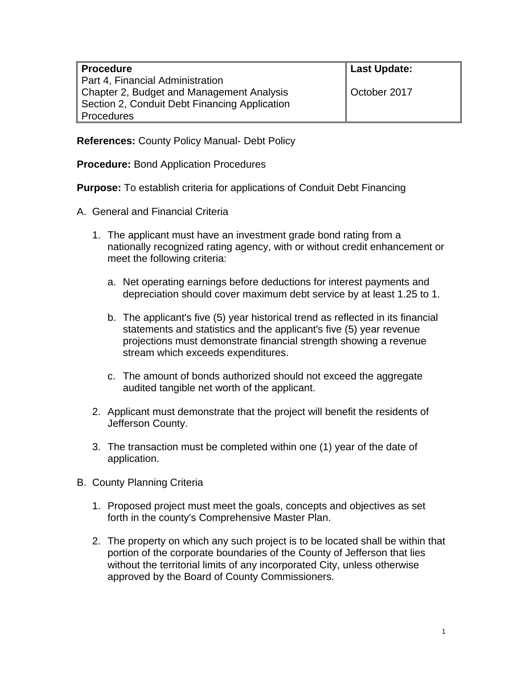| <b>Procedure</b>                              | <b>Last Update:</b> |
|-----------------------------------------------|---------------------|
| Part 4, Financial Administration              |                     |
| Chapter 2, Budget and Management Analysis     | October 2017        |
| Section 2, Conduit Debt Financing Application |                     |
| Procedures                                    |                     |

**References:** County Policy Manual- Debt Policy

**Procedure:** Bond Application Procedures

**Purpose:** To establish criteria for applications of Conduit Debt Financing

- A. General and Financial Criteria
	- 1. The applicant must have an investment grade bond rating from a nationally recognized rating agency, with or without credit enhancement or meet the following criteria:
		- a. Net operating earnings before deductions for interest payments and depreciation should cover maximum debt service by at least 1.25 to 1.
		- b. The applicant's five (5) year historical trend as reflected in its financial statements and statistics and the applicant's five (5) year revenue projections must demonstrate financial strength showing a revenue stream which exceeds expenditures.
		- c. The amount of bonds authorized should not exceed the aggregate audited tangible net worth of the applicant.
	- 2. Applicant must demonstrate that the project will benefit the residents of Jefferson County.
	- 3. The transaction must be completed within one (1) year of the date of application.
- B. County Planning Criteria
	- 1. Proposed project must meet the goals, concepts and objectives as set forth in the county's Comprehensive Master Plan.
	- 2. The property on which any such project is to be located shall be within that portion of the corporate boundaries of the County of Jefferson that lies without the territorial limits of any incorporated City, unless otherwise approved by the Board of County Commissioners.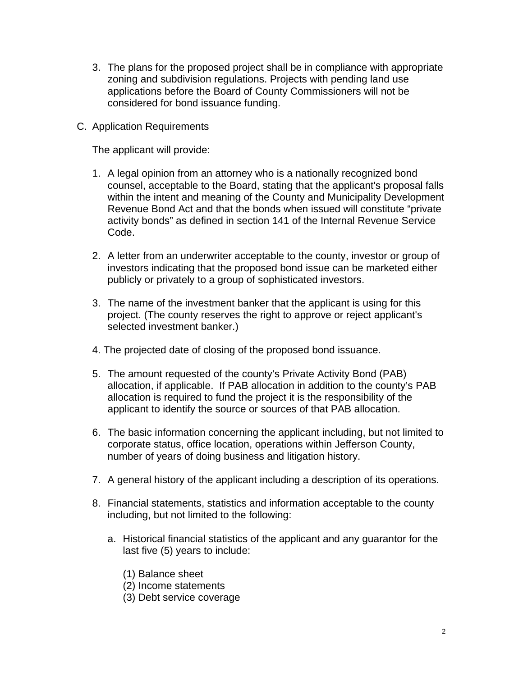- 3. The plans for the proposed project shall be in compliance with appropriate zoning and subdivision regulations. Projects with pending land use applications before the Board of County Commissioners will not be considered for bond issuance funding.
- C. Application Requirements

The applicant will provide:

- 1. A legal opinion from an attorney who is a nationally recognized bond counsel, acceptable to the Board, stating that the applicant's proposal falls within the intent and meaning of the County and Municipality Development Revenue Bond Act and that the bonds when issued will constitute "private activity bonds" as defined in section 141 of the Internal Revenue Service Code.
- 2. A letter from an underwriter acceptable to the county, investor or group of investors indicating that the proposed bond issue can be marketed either publicly or privately to a group of sophisticated investors.
- 3. The name of the investment banker that the applicant is using for this project. (The county reserves the right to approve or reject applicant's selected investment banker.)
- 4. The projected date of closing of the proposed bond issuance.
- 5. The amount requested of the county's Private Activity Bond (PAB) allocation, if applicable. If PAB allocation in addition to the county's PAB allocation is required to fund the project it is the responsibility of the applicant to identify the source or sources of that PAB allocation.
- 6. The basic information concerning the applicant including, but not limited to corporate status, office location, operations within Jefferson County, number of years of doing business and litigation history.
- 7. A general history of the applicant including a description of its operations.
- 8. Financial statements, statistics and information acceptable to the county including, but not limited to the following:
	- a. Historical financial statistics of the applicant and any guarantor for the last five (5) years to include:
		- (1) Balance sheet
		- (2) Income statements
		- (3) Debt service coverage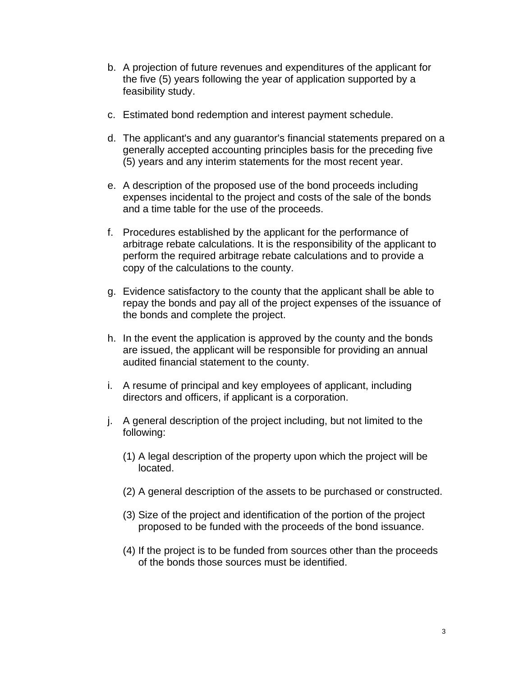- b. A projection of future revenues and expenditures of the applicant for the five (5) years following the year of application supported by a feasibility study.
- c. Estimated bond redemption and interest payment schedule.
- d. The applicant's and any guarantor's financial statements prepared on a generally accepted accounting principles basis for the preceding five (5) years and any interim statements for the most recent year.
- e. A description of the proposed use of the bond proceeds including expenses incidental to the project and costs of the sale of the bonds and a time table for the use of the proceeds.
- f. Procedures established by the applicant for the performance of arbitrage rebate calculations. It is the responsibility of the applicant to perform the required arbitrage rebate calculations and to provide a copy of the calculations to the county.
- g. Evidence satisfactory to the county that the applicant shall be able to repay the bonds and pay all of the project expenses of the issuance of the bonds and complete the project.
- h. In the event the application is approved by the county and the bonds are issued, the applicant will be responsible for providing an annual audited financial statement to the county.
- i. A resume of principal and key employees of applicant, including directors and officers, if applicant is a corporation.
- j. A general description of the project including, but not limited to the following:
	- (1) A legal description of the property upon which the project will be located.
	- (2) A general description of the assets to be purchased or constructed.
	- (3) Size of the project and identification of the portion of the project proposed to be funded with the proceeds of the bond issuance.
	- (4) If the project is to be funded from sources other than the proceeds of the bonds those sources must be identified.